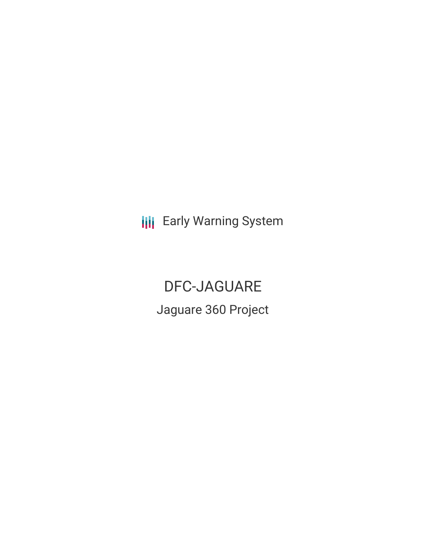**III** Early Warning System

DFC-JAGUARE Jaguare 360 Project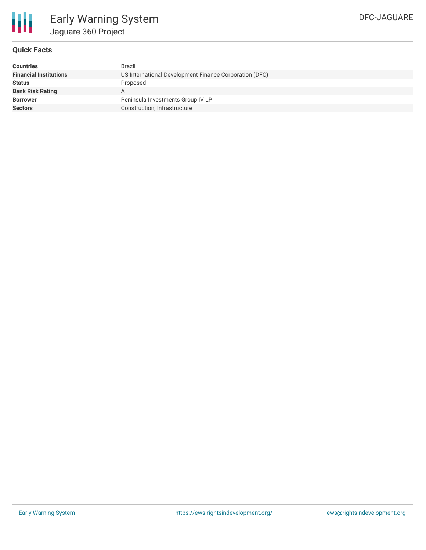

## **Quick Facts**

| <b>Countries</b>              | Brazil                                                 |
|-------------------------------|--------------------------------------------------------|
| <b>Financial Institutions</b> | US International Development Finance Corporation (DFC) |
| <b>Status</b>                 | Proposed                                               |
| <b>Bank Risk Rating</b>       | A                                                      |
| <b>Borrower</b>               | Peninsula Investments Group IV LP                      |
| <b>Sectors</b>                | Construction, Infrastructure                           |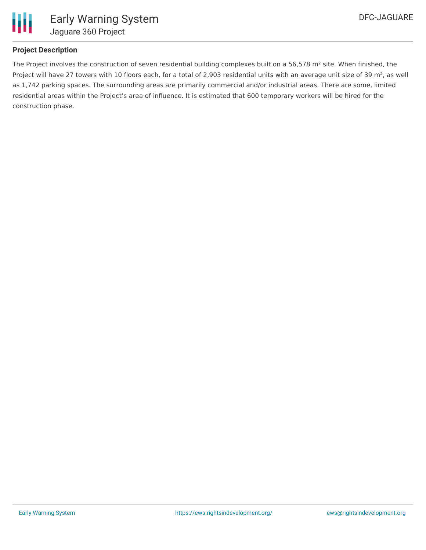

### **Project Description**

The Project involves the construction of seven residential building complexes built on a 56,578 m<sup>2</sup> site. When finished, the Project will have 27 towers with 10 floors each, for a total of 2,903 residential units with an average unit size of 39 m<sup>2</sup>, as well as 1,742 parking spaces. The surrounding areas are primarily commercial and/or industrial areas. There are some, limited residential areas within the Project's area of influence. It is estimated that 600 temporary workers will be hired for the construction phase.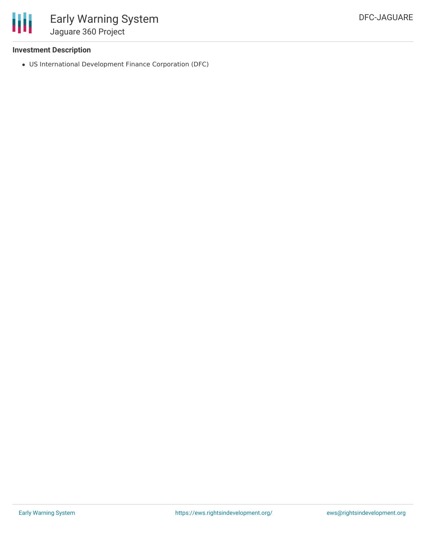

### **Investment Description**

US International Development Finance Corporation (DFC)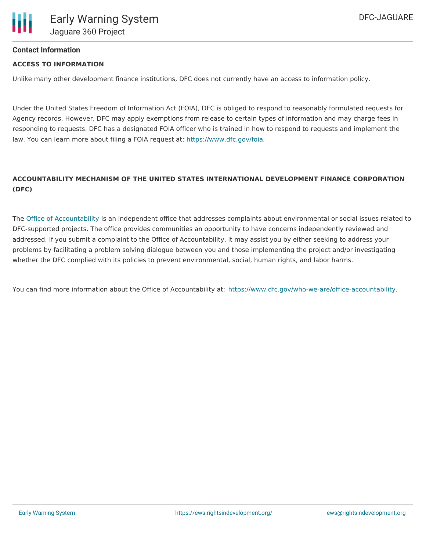

#### **Contact Information**

#### **ACCESS TO INFORMATION**

Unlike many other development finance institutions, DFC does not currently have an access to information policy.

Under the United States Freedom of Information Act (FOIA), DFC is obliged to respond to reasonably formulated requests for Agency records. However, DFC may apply exemptions from release to certain types of information and may charge fees in responding to requests. DFC has a designated FOIA officer who is trained in how to respond to requests and implement the law. You can learn more about filing a FOIA request at: <https://www.dfc.gov/foia>.

# **ACCOUNTABILITY MECHANISM OF THE UNITED STATES INTERNATIONAL DEVELOPMENT FINANCE CORPORATION (DFC)**

The Office of [Accountability](https://www.dfc.gov/who-we-are/office-accountability) is an independent office that addresses complaints about environmental or social issues related to DFC-supported projects. The office provides communities an opportunity to have concerns independently reviewed and addressed. If you submit a complaint to the Office of Accountability, it may assist you by either seeking to address your problems by facilitating a problem solving dialogue between you and those implementing the project and/or investigating whether the DFC complied with its policies to prevent environmental, social, human rights, and labor harms.

You can find more information about the Office of Accountability at: <https://www.dfc.gov/who-we-are/office-accountability>.